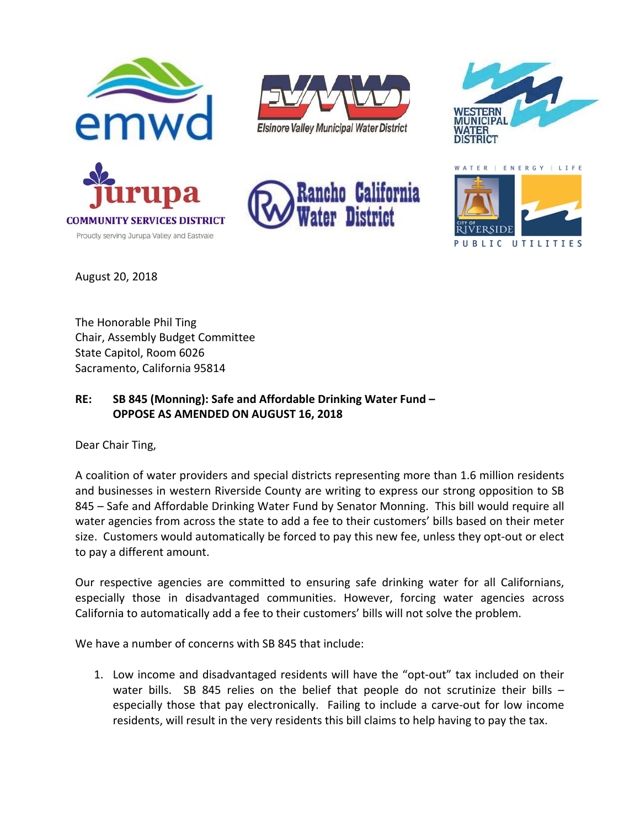

Proudly serving Jurupa Valley and Eastvale









August 20, 2018

The Honorable Phil Ting Chair, Assembly Budget Committee State Capitol, Room 6026 Sacramento, California 95814

## **RE: SB 845 (Monning): Safe and Affordable Drinking Water Fund – OPPOSE AS AMENDED ON AUGUST 16, 2018**

Dear Chair Ting,

A coalition of water providers and special districts representing more than 1.6 million residents and businesses in western Riverside County are writing to express our strong opposition to SB 845 – Safe and Affordable Drinking Water Fund by Senator Monning. This bill would require all water agencies from across the state to add a fee to their customers' bills based on their meter size. Customers would automatically be forced to pay this new fee, unless they opt-out or elect to pay a different amount.

Our respective agencies are committed to ensuring safe drinking water for all Californians, especially those in disadvantaged communities. However, forcing water agencies across California to automatically add a fee to their customers' bills will not solve the problem.

We have a number of concerns with SB 845 that include:

1. Low income and disadvantaged residents will have the "opt‐out" tax included on their water bills. SB 845 relies on the belief that people do not scrutinize their bills especially those that pay electronically. Failing to include a carve-out for low income residents, will result in the very residents this bill claims to help having to pay the tax.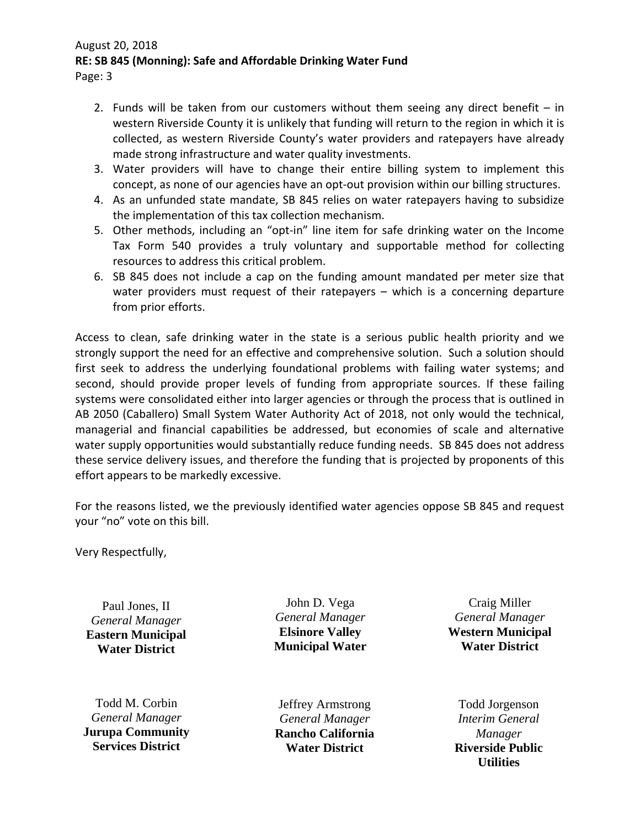## August 20, 2018 **RE: SB 845 (Monning): Safe and Affordable Drinking Water Fund**

Page: 3

- 2. Funds will be taken from our customers without them seeing any direct benefit  $-$  in western Riverside County it is unlikely that funding will return to the region in which it is collected, as western Riverside County's water providers and ratepayers have already made strong infrastructure and water quality investments.
- 3. Water providers will have to change their entire billing system to implement this concept, as none of our agencies have an opt-out provision within our billing structures.
- 4. As an unfunded state mandate, SB 845 relies on water ratepayers having to subsidize the implementation of this tax collection mechanism.
- 5. Other methods, including an "opt-in" line item for safe drinking water on the Income Tax Form 540 provides a truly voluntary and supportable method for collecting resources to address this critical problem.
- 6. SB 845 does not include a cap on the funding amount mandated per meter size that water providers must request of their ratepayers – which is a concerning departure from prior efforts.

Access to clean, safe drinking water in the state is a serious public health priority and we strongly support the need for an effective and comprehensive solution. Such a solution should first seek to address the underlying foundational problems with failing water systems; and second, should provide proper levels of funding from appropriate sources. If these failing systems were consolidated either into larger agencies or through the process that is outlined in AB 2050 (Caballero) Small System Water Authority Act of 2018, not only would the technical, managerial and financial capabilities be addressed, but economies of scale and alternative water supply opportunities would substantially reduce funding needs. SB 845 does not address these service delivery issues, and therefore the funding that is projected by proponents of this effort appears to be markedly excessive.

For the reasons listed, we the previously identified water agencies oppose SB 845 and request your "no" vote on this bill.

Very Respectfully,

Paul Jones, II *General Manager*  **Eastern Municipal Water District** 

Todd M. Corbin *General Manager*  **Jurupa Community Services District** 

John D. Vega *General Manager*  **Elsinore Valley Municipal Water** 

Jeffrey Armstrong *General Manager*  **Rancho California Water District** 

Craig Miller *General Manager* **Western Municipal Water District**

Todd Jorgenson *Interim General Manager*  **Riverside Public Utilities**